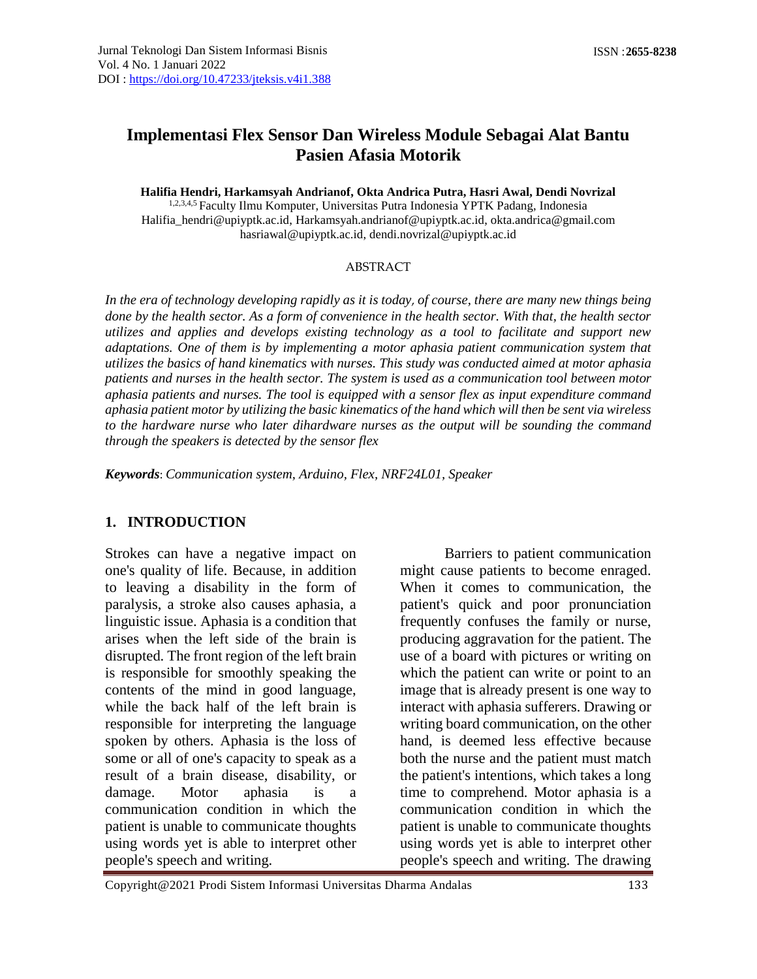# **Implementasi Flex Sensor Dan Wireless Module Sebagai Alat Bantu Pasien Afasia Motorik**

**Halifia Hendri, Harkamsyah Andrianof, Okta Andrica Putra, Hasri Awal, Dendi Novrizal** 1,2,3,4,5 Faculty Ilmu Komputer, Universitas Putra Indonesia YPTK Padang, Indonesia [Halifia\\_hendri@upiyptk.ac.id,](mailto:Halifia_hendri@upiyptk.ac.id) [Harkamsyah.andrianof@upiyptk.ac.id,](mailto:Harkamsyah.andrianof@upiyptk.ac.id) [okta.andrica@gmail.com](mailto:okta.andrica@gmail.com) [hasriawal@upiyptk.ac.id,](mailto:hasriawal@upiyptk.ac.id) dendi.novrizal@upiyptk.ac.id

#### ABSTRACT

*In the era of technology developing rapidly as it is today*, *of course, there are many new things being done by the health sector. As a form of convenience in the health sector. With that, the health sector utilizes and applies and develops existing technology as a tool to facilitate and support new adaptations. One of them is by implementing a motor aphasia patient communication system that utilizes the basics of hand kinematics with nurses. This study was conducted aimed at motor aphasia patients and nurses in the health sector. The system is used as a communication tool between motor aphasia patients and nurses. The tool is equipped with a sensor flex as input expenditure command aphasia patient motor by utilizing the basic kinematics of the hand which will then be sent via wireless to the hardware nurse who later dihardware nurses as the output will be sounding the command through the speakers is detected by the sensor flex*

*Keywords*: *Communication system, Arduino, Flex, NRF24L01, Speaker*

#### **1. INTRODUCTION**

Strokes can have a negative impact on one's quality of life. Because, in addition to leaving a disability in the form of paralysis, a stroke also causes aphasia, a linguistic issue. Aphasia is a condition that arises when the left side of the brain is disrupted. The front region of the left brain is responsible for smoothly speaking the contents of the mind in good language, while the back half of the left brain is responsible for interpreting the language spoken by others. Aphasia is the loss of some or all of one's capacity to speak as a result of a brain disease, disability, or damage. Motor aphasia is a communication condition in which the patient is unable to communicate thoughts using words yet is able to interpret other people's speech and writing.

Barriers to patient communication might cause patients to become enraged. When it comes to communication, the patient's quick and poor pronunciation frequently confuses the family or nurse, producing aggravation for the patient. The use of a board with pictures or writing on which the patient can write or point to an image that is already present is one way to interact with aphasia sufferers. Drawing or writing board communication, on the other hand, is deemed less effective because both the nurse and the patient must match the patient's intentions, which takes a long time to comprehend. Motor aphasia is a communication condition in which the patient is unable to communicate thoughts using words yet is able to interpret other people's speech and writing. The drawing

Copyright@2021 Prodi Sistem Informasi Universitas Dharma Andalas 133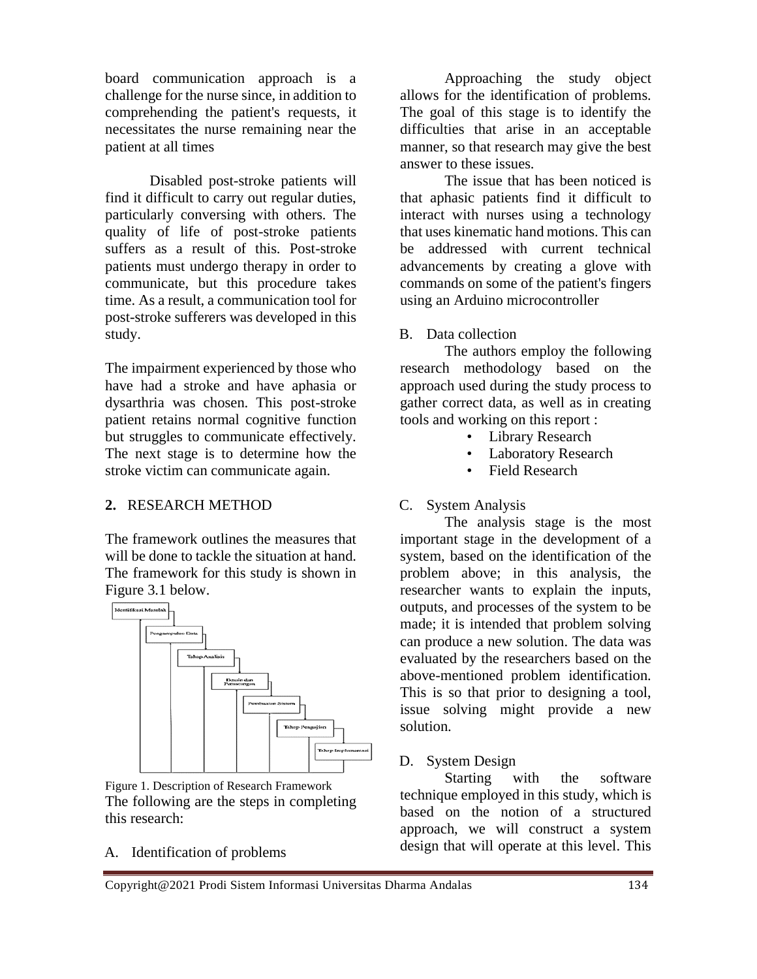board communication approach is a challenge for the nurse since, in addition to comprehending the patient's requests, it necessitates the nurse remaining near the patient at all times

Disabled post-stroke patients will find it difficult to carry out regular duties, particularly conversing with others. The quality of life of post-stroke patients suffers as a result of this. Post-stroke patients must undergo therapy in order to communicate, but this procedure takes time. As a result, a communication tool for post-stroke sufferers was developed in this study.

The impairment experienced by those who have had a stroke and have aphasia or dysarthria was chosen. This post-stroke patient retains normal cognitive function but struggles to communicate effectively. The next stage is to determine how the stroke victim can communicate again.

#### **2.** RESEARCH METHOD

The framework outlines the measures that will be done to tackle the situation at hand. The framework for this study is shown in Figure 3.1 below.



Figure 1. Description of Research Framework The following are the steps in completing this research:

A. Identification of problems

Approaching the study object allows for the identification of problems. The goal of this stage is to identify the difficulties that arise in an acceptable manner, so that research may give the best answer to these issues.

The issue that has been noticed is that aphasic patients find it difficult to interact with nurses using a technology that uses kinematic hand motions. This can be addressed with current technical advancements by creating a glove with commands on some of the patient's fingers using an Arduino microcontroller

B. Data collection

The authors employ the following research methodology based on the approach used during the study process to gather correct data, as well as in creating tools and working on this report :

- Library Research
- Laboratory Research
- Field Research

## C. System Analysis

The analysis stage is the most important stage in the development of a system, based on the identification of the problem above; in this analysis, the researcher wants to explain the inputs, outputs, and processes of the system to be made; it is intended that problem solving can produce a new solution. The data was evaluated by the researchers based on the above-mentioned problem identification. This is so that prior to designing a tool, issue solving might provide a new solution.

D. System Design

Starting with the software technique employed in this study, which is based on the notion of a structured approach, we will construct a system design that will operate at this level. This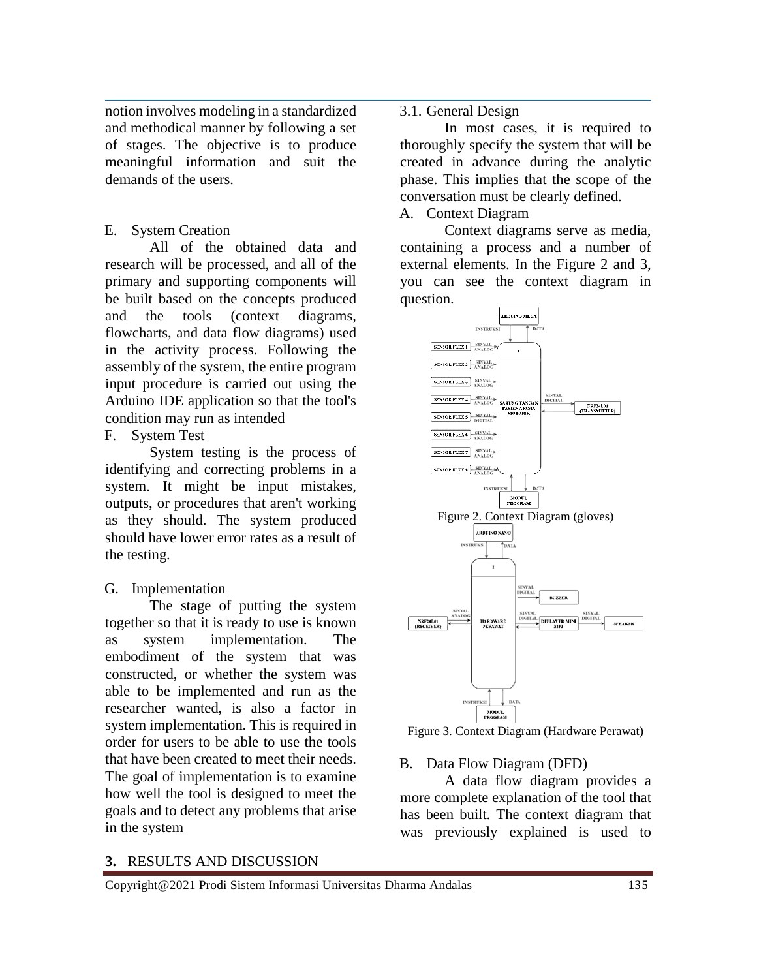notion involves modeling in a standardized and methodical manner by following a set of stages. The objective is to produce meaningful information and suit the demands of the users.

### E. System Creation

All of the obtained data and research will be processed, and all of the primary and supporting components will be built based on the concepts produced and the tools (context diagrams, flowcharts, and data flow diagrams) used in the activity process. Following the assembly of the system, the entire program input procedure is carried out using the Arduino IDE application so that the tool's condition may run as intended

F. System Test

System testing is the process of identifying and correcting problems in a system. It might be input mistakes, outputs, or procedures that aren't working as they should. The system produced should have lower error rates as a result of the testing.

## G. Implementation

The stage of putting the system together so that it is ready to use is known as system implementation. The embodiment of the system that was constructed, or whether the system was able to be implemented and run as the researcher wanted, is also a factor in system implementation. This is required in order for users to be able to use the tools that have been created to meet their needs. The goal of implementation is to examine how well the tool is designed to meet the goals and to detect any problems that arise in the system

#### 3.1. General Design

In most cases, it is required to thoroughly specify the system that will be created in advance during the analytic phase. This implies that the scope of the conversation must be clearly defined.

## A. Context Diagram

Context diagrams serve as media, containing a process and a number of external elements. In the Figure 2 and 3, you can see the context diagram in question.



Figure 3. Context Diagram (Hardware Perawat)

## B. Data Flow Diagram (DFD)

A data flow diagram provides a more complete explanation of the tool that has been built. The context diagram that was previously explained is used to

#### **3.** RESULTS AND DISCUSSION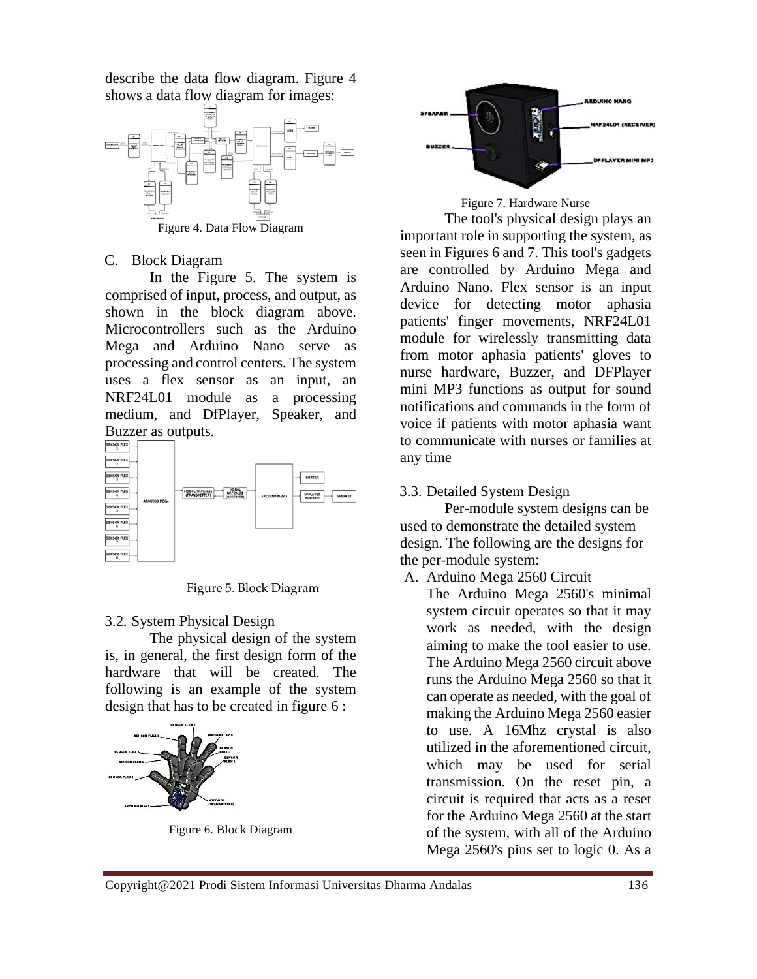describe the data flow diagram. Figure 4 shows a data flow diagram for images:



#### C. Block Diagram

In the Figure 5. The system is comprised of input, process, and output, as shown in the block diagram above. Microcontrollers such as the Arduino Mega and Arduino Nano serve as processing and control centers. The system uses a flex sensor as an input, an NRF24L01 module as a processing medium, and DfPlayer, Speaker, and Buzzer as outputs.



Figure 5. Block Diagram

## 3.2. System Physical Design

The physical design of the system is, in general, the first design form of the hardware that will be created. The following is an example of the system design that has to be created in figure 6 :



Figure 6. Block Diagram





The tool's physical design plays an important role in supporting the system, as seen in Figures 6 and 7. This tool's gadgets are controlled by Arduino Mega and Arduino Nano. Flex sensor is an input device for detecting motor aphasia patients' finger movements, NRF24L01 module for wirelessly transmitting data from motor aphasia patients' gloves to nurse hardware, Buzzer, and DFPlayer mini MP3 functions as output for sound notifications and commands in the form of voice if patients with motor aphasia want to communicate with nurses or families at any time

3.3. Detailed System Design

Per-module system designs can be used to demonstrate the detailed system design. The following are the designs for the per-module system:

A. Arduino Mega 2560 Circuit

The Arduino Mega 2560's minimal system circuit operates so that it may work as needed, with the design aiming to make the tool easier to use. The Arduino Mega 2560 circuit above runs the Arduino Mega 2560 so that it can operate as needed, with the goal of making the Arduino Mega 2560 easier to use. A 16Mhz crystal is also utilized in the aforementioned circuit, which may be used for serial transmission. On the reset pin, a circuit is required that acts as a reset for the Arduino Mega 2560 at the start of the system, with all of the Arduino Mega 2560's pins set to logic 0. As a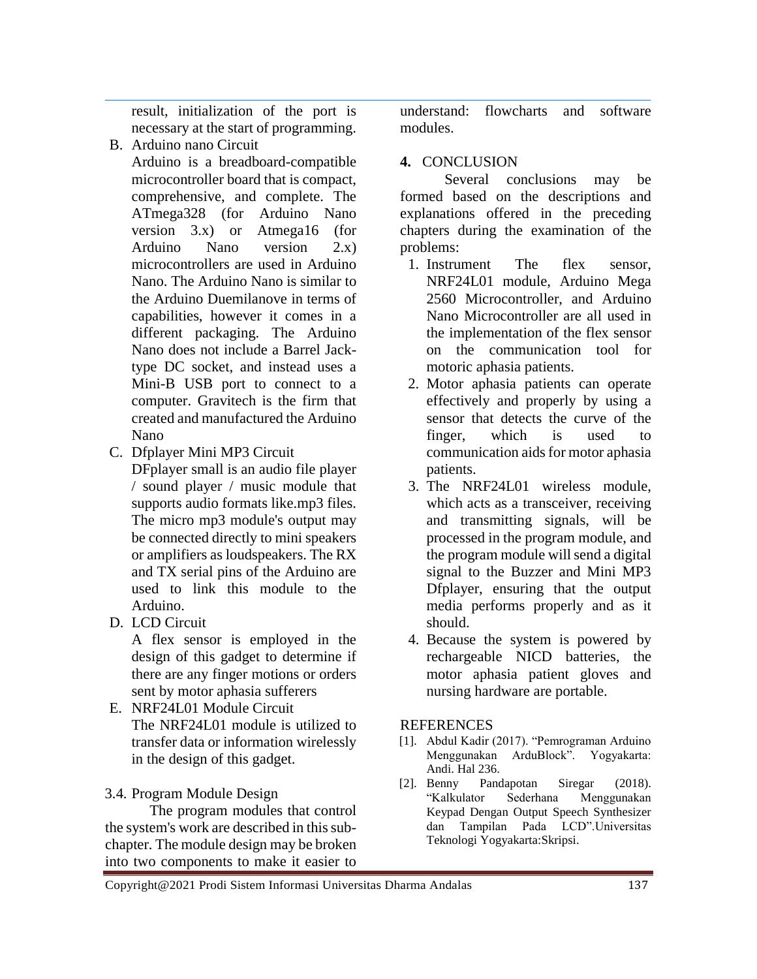result, initialization of the port is necessary at the start of programming.

- B. Arduino nano Circuit
	- Arduino is a breadboard-compatible microcontroller board that is compact, comprehensive, and complete. The ATmega328 (for Arduino Nano version 3.x) or Atmega16 (for Arduino Nano version 2.x) microcontrollers are used in Arduino Nano. The Arduino Nano is similar to the Arduino Duemilanove in terms of capabilities, however it comes in a different packaging. The Arduino Nano does not include a Barrel Jacktype DC socket, and instead uses a Mini-B USB port to connect to a computer. Gravitech is the firm that created and manufactured the Arduino Nano
- C. Dfplayer Mini MP3 Circuit

DFplayer small is an audio file player / sound player / music module that supports audio formats like.mp3 files. The micro mp3 module's output may be connected directly to mini speakers or amplifiers as loudspeakers. The RX and TX serial pins of the Arduino are used to link this module to the Arduino.

D. LCD Circuit

A flex sensor is employed in the design of this gadget to determine if there are any finger motions or orders sent by motor aphasia sufferers

E. NRF24L01 Module Circuit The NRF24L01 module is utilized to transfer data or information wirelessly in the design of this gadget.

# 3.4. Program Module Design

The program modules that control the system's work are described in this subchapter. The module design may be broken into two components to make it easier to

understand: flowcharts and software modules.

# **4.** CONCLUSION

Several conclusions may be formed based on the descriptions and explanations offered in the preceding chapters during the examination of the problems:

- 1. Instrument The flex sensor, NRF24L01 module, Arduino Mega 2560 Microcontroller, and Arduino Nano Microcontroller are all used in the implementation of the flex sensor on the communication tool for motoric aphasia patients.
- 2. Motor aphasia patients can operate effectively and properly by using a sensor that detects the curve of the finger, which is used to communication aids for motor aphasia patients.
- 3. The NRF24L01 wireless module, which acts as a transceiver, receiving and transmitting signals, will be processed in the program module, and the program module will send a digital signal to the Buzzer and Mini MP3 Dfplayer, ensuring that the output media performs properly and as it should.
- 4. Because the system is powered by rechargeable NICD batteries, the motor aphasia patient gloves and nursing hardware are portable.

## **REFERENCES**

- [1]. Abdul Kadir (2017). "Pemrograman Arduino Menggunakan ArduBlock". Yogyakarta: Andi. Hal 236.
- [2]. Benny Pandapotan Siregar (2018). "Kalkulator Sederhana Menggunakan Keypad Dengan Output Speech Synthesizer dan Tampilan Pada LCD".Universitas Teknologi Yogyakarta:Skripsi.

Copyright@2021 Prodi Sistem Informasi Universitas Dharma Andalas 137